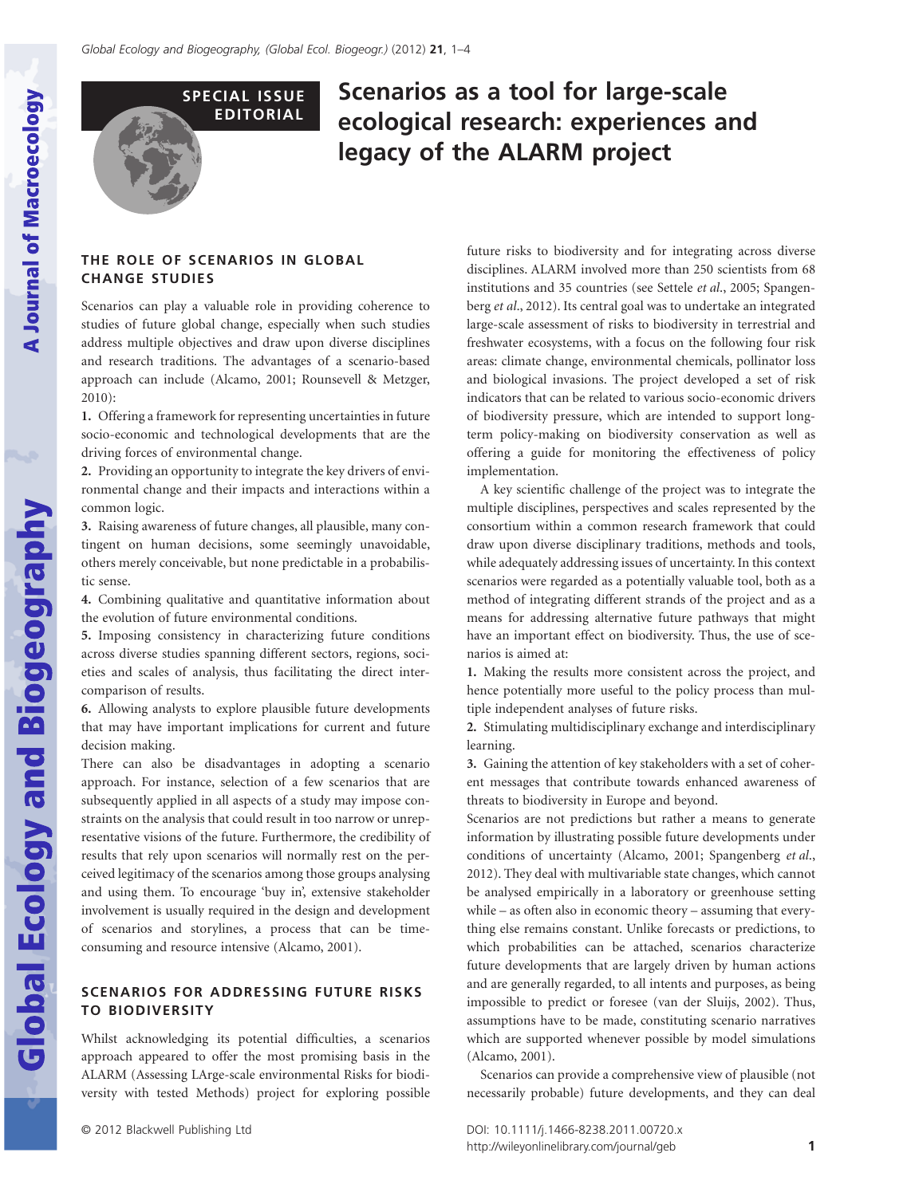**Global Ecology and Biogeography** 



# **Scenarios as a tool for large-scale ecological research: experiences and legacy of the ALARM project**

## **THE ROLE OF SCENARIOS IN GLOBAL CHANGE STUDIES**

Scenarios can play a valuable role in providing coherence to studies of future global change, especially when such studies address multiple objectives and draw upon diverse disciplines and research traditions. The advantages of a scenario-based approach can include (Alcamo, 2001; Rounsevell & Metzger, 2010):

**1.** Offering a framework for representing uncertainties in future socio-economic and technological developments that are the driving forces of environmental change.

**2.** Providing an opportunity to integrate the key drivers of environmental change and their impacts and interactions within a common logic.

**3.** Raising awareness of future changes, all plausible, many contingent on human decisions, some seemingly unavoidable, others merely conceivable, but none predictable in a probabilistic sense.

**4.** Combining qualitative and quantitative information about the evolution of future environmental conditions.

**5.** Imposing consistency in characterizing future conditions across diverse studies spanning different sectors, regions, societies and scales of analysis, thus facilitating the direct intercomparison of results.

**6.** Allowing analysts to explore plausible future developments that may have important implications for current and future decision making.

There can also be disadvantages in adopting a scenario approach. For instance, selection of a few scenarios that are subsequently applied in all aspects of a study may impose constraints on the analysis that could result in too narrow or unrepresentative visions of the future. Furthermore, the credibility of results that rely upon scenarios will normally rest on the perceived legitimacy of the scenarios among those groups analysing and using them. To encourage 'buy in', extensive stakeholder involvement is usually required in the design and development of scenarios and storylines, a process that can be timeconsuming and resource intensive (Alcamo, 2001).

## **SCENARIOS FOR ADDRESSING FUTURE RISKS TO BIODIVERSITY**

Whilst acknowledging its potential difficulties, a scenarios approach appeared to offer the most promising basis in the ALARM (Assessing LArge-scale environmental Risks for biodiversity with tested Methods) project for exploring possible

future risks to biodiversity and for integrating across diverse disciplines. ALARM involved more than 250 scientists from 68 institutions and 35 countries (see Settele *et al*., 2005; Spangenberg *et al*., 2012). Its central goal was to undertake an integrated large-scale assessment of risks to biodiversity in terrestrial and freshwater ecosystems, with a focus on the following four risk areas: climate change, environmental chemicals, pollinator loss and biological invasions. The project developed a set of risk indicators that can be related to various socio-economic drivers of biodiversity pressure, which are intended to support longterm policy-making on biodiversity conservation as well as offering a guide for monitoring the effectiveness of policy implementation.

A key scientific challenge of the project was to integrate the multiple disciplines, perspectives and scales represented by the consortium within a common research framework that could draw upon diverse disciplinary traditions, methods and tools, while adequately addressing issues of uncertainty. In this context scenarios were regarded as a potentially valuable tool, both as a method of integrating different strands of the project and as a means for addressing alternative future pathways that might have an important effect on biodiversity. Thus, the use of scenarios is aimed at:

**1.** Making the results more consistent across the project, and hence potentially more useful to the policy process than multiple independent analyses of future risks.

**2.** Stimulating multidisciplinary exchange and interdisciplinary learning.

**3.** Gaining the attention of key stakeholders with a set of coherent messages that contribute towards enhanced awareness of threats to biodiversity in Europe and beyond.

Scenarios are not predictions but rather a means to generate information by illustrating possible future developments under conditions of uncertainty (Alcamo, 2001; Spangenberg *et al*., 2012). They deal with multivariable state changes, which cannot be analysed empirically in a laboratory or greenhouse setting while – as often also in economic theory – assuming that everything else remains constant. Unlike forecasts or predictions, to which probabilities can be attached, scenarios characterize future developments that are largely driven by human actions and are generally regarded, to all intents and purposes, as being impossible to predict or foresee (van der Sluijs, 2002). Thus, assumptions have to be made, constituting scenario narratives which are supported whenever possible by model simulations (Alcamo, 2001).

Scenarios can provide a comprehensive view of plausible (not necessarily probable) future developments, and they can deal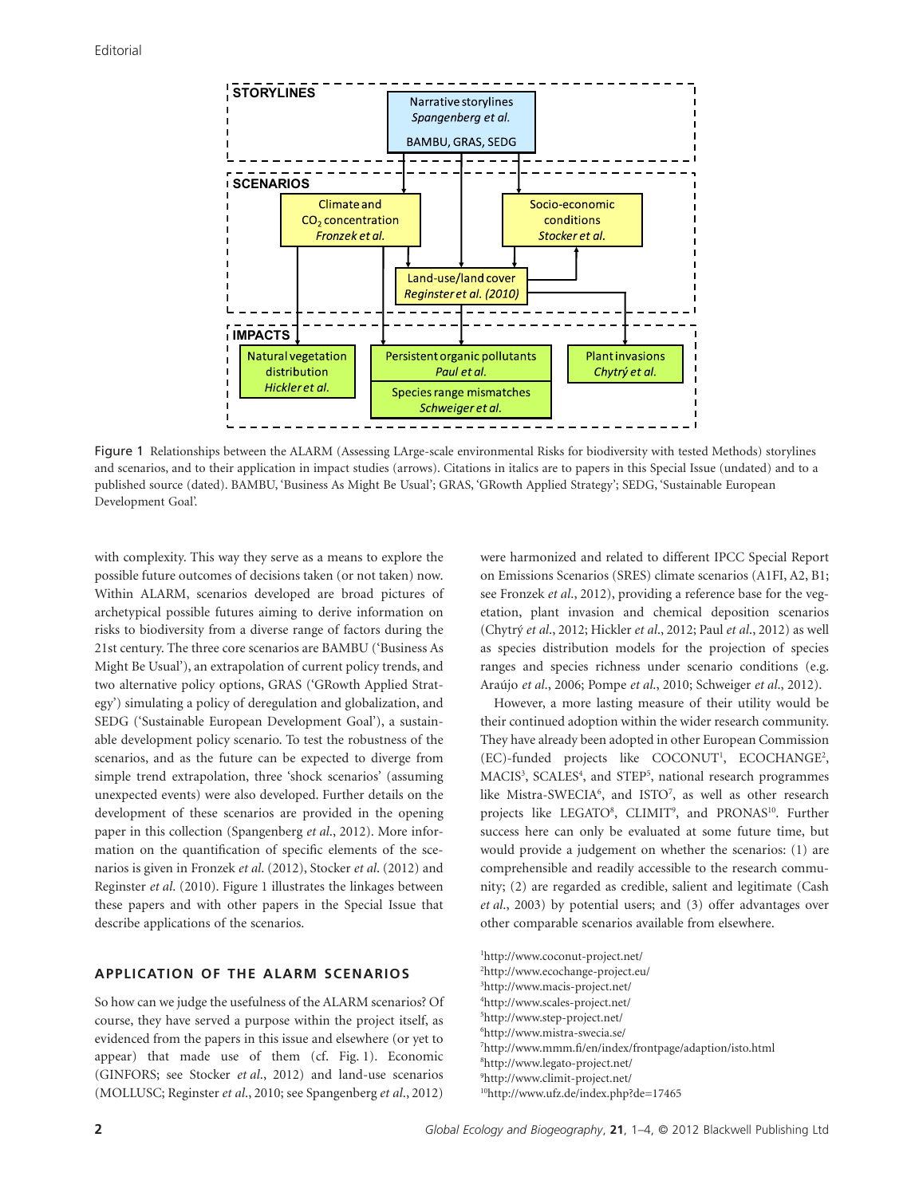

Figure 1 Relationships between the ALARM (Assessing LArge-scale environmental Risks for biodiversity with tested Methods) storylines and scenarios, and to their application in impact studies (arrows). Citations in italics are to papers in this Special Issue (undated) and to a published source (dated). BAMBU, 'Business As Might Be Usual'; GRAS, 'GRowth Applied Strategy'; SEDG, 'Sustainable European Development Goal'.

with complexity. This way they serve as a means to explore the possible future outcomes of decisions taken (or not taken) now. Within ALARM, scenarios developed are broad pictures of archetypical possible futures aiming to derive information on risks to biodiversity from a diverse range of factors during the 21st century. The three core scenarios are BAMBU ('Business As Might Be Usual'), an extrapolation of current policy trends, and two alternative policy options, GRAS ('GRowth Applied Strategy') simulating a policy of deregulation and globalization, and SEDG ('Sustainable European Development Goal'), a sustainable development policy scenario. To test the robustness of the scenarios, and as the future can be expected to diverge from simple trend extrapolation, three 'shock scenarios' (assuming unexpected events) were also developed. Further details on the development of these scenarios are provided in the opening paper in this collection (Spangenberg *et al*., 2012). More information on the quantification of specific elements of the scenarios is given in Fronzek *et al*. (2012), Stocker *et al*. (2012) and Reginster *et al*. (2010). Figure 1 illustrates the linkages between these papers and with other papers in the Special Issue that describe applications of the scenarios.

## **APPLICATION OF THE ALARM SCENARIOS**

So how can we judge the usefulness of the ALARM scenarios? Of course, they have served a purpose within the project itself, as evidenced from the papers in this issue and elsewhere (or yet to appear) that made use of them (cf. Fig. 1). Economic (GINFORS; see Stocker *et al*., 2012) and land-use scenarios (MOLLUSC; Reginster *et al*., 2010; see Spangenberg *et al*., 2012) were harmonized and related to different IPCC Special Report on Emissions Scenarios (SRES) climate scenarios (A1FI, A2, B1; see Fronzek *et al*., 2012), providing a reference base for the vegetation, plant invasion and chemical deposition scenarios (Chytrý *et al*., 2012; Hickler *et al*., 2012; Paul *et al*., 2012) as well as species distribution models for the projection of species ranges and species richness under scenario conditions (e.g. Araújo *et al*., 2006; Pompe *et al*., 2010; Schweiger *et al*., 2012).

However, a more lasting measure of their utility would be their continued adoption within the wider research community. They have already been adopted in other European Commission (EC)-funded projects like COCONUT<sup>1</sup>, ECOCHANGE<sup>2</sup>, MACIS<sup>3</sup>, SCALES<sup>4</sup>, and STEP<sup>5</sup>, national research programmes like Mistra-SWECIA<sup>6</sup>, and ISTO<sup>7</sup>, as well as other research projects like LEGATO<sup>8</sup>, CLIMIT<sup>9</sup>, and PRONAS<sup>10</sup>. Further success here can only be evaluated at some future time, but would provide a judgement on whether the scenarios: (1) are comprehensible and readily accessible to the research community; (2) are regarded as credible, salient and legitimate (Cash *et al*., 2003) by potential users; and (3) offer advantages over other comparable scenarios available from elsewhere.

 http://www.coconut-project.net/ http://www.ecochange-project.eu/ http://www.macis-project.net/ http://www.scales-project.net/

5 http://www.step-project.net/

6 http://www.mistra-swecia.se/

7 http://www.mmm.fi/en/index/frontpage/adaption/isto.html

8 http://www.legato-project.net/

9 http://www.climit-project.net/

10http://www.ufz.de/index.php?de=17465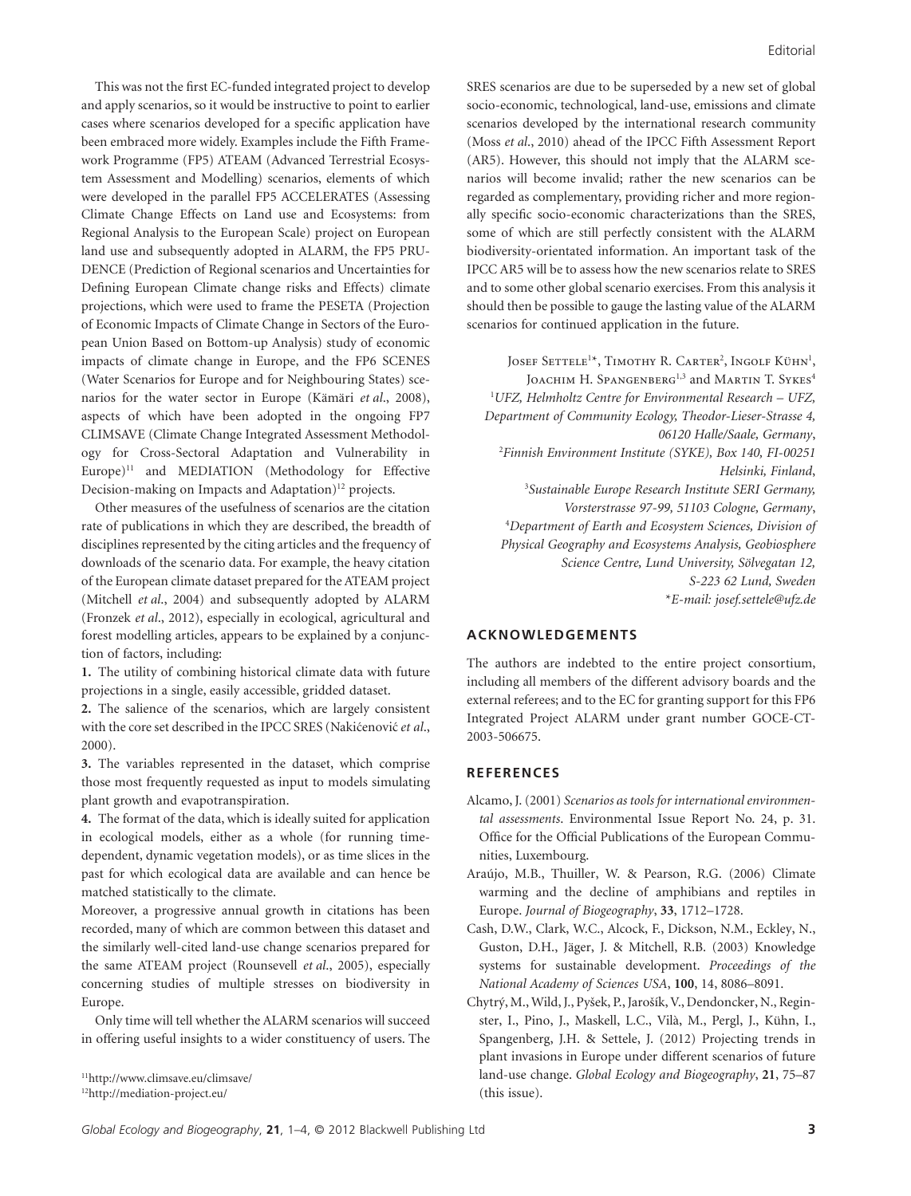This was not the first EC-funded integrated project to develop and apply scenarios, so it would be instructive to point to earlier cases where scenarios developed for a specific application have been embraced more widely. Examples include the Fifth Framework Programme (FP5) ATEAM (Advanced Terrestrial Ecosystem Assessment and Modelling) scenarios, elements of which were developed in the parallel FP5 ACCELERATES (Assessing Climate Change Effects on Land use and Ecosystems: from Regional Analysis to the European Scale) project on European land use and subsequently adopted in ALARM, the FP5 PRU-DENCE (Prediction of Regional scenarios and Uncertainties for Defining European Climate change risks and Effects) climate projections, which were used to frame the PESETA (Projection of Economic Impacts of Climate Change in Sectors of the European Union Based on Bottom-up Analysis) study of economic impacts of climate change in Europe, and the FP6 SCENES (Water Scenarios for Europe and for Neighbouring States) scenarios for the water sector in Europe (Kämäri *et al*., 2008), aspects of which have been adopted in the ongoing FP7 CLIMSAVE (Climate Change Integrated Assessment Methodology for Cross-Sectoral Adaptation and Vulnerability in Europe) $11$  and MEDIATION (Methodology for Effective Decision-making on Impacts and Adaptation)<sup>12</sup> projects.

Other measures of the usefulness of scenarios are the citation rate of publications in which they are described, the breadth of disciplines represented by the citing articles and the frequency of downloads of the scenario data. For example, the heavy citation of the European climate dataset prepared for the ATEAM project (Mitchell *et al*., 2004) and subsequently adopted by ALARM (Fronzek *et al*., 2012), especially in ecological, agricultural and forest modelling articles, appears to be explained by a conjunction of factors, including:

**1.** The utility of combining historical climate data with future projections in a single, easily accessible, gridded dataset.

**2.** The salience of the scenarios, which are largely consistent with the core set described in the IPCC SRES (Nakićenović et al., 2000).

**3.** The variables represented in the dataset, which comprise those most frequently requested as input to models simulating plant growth and evapotranspiration.

**4.** The format of the data, which is ideally suited for application in ecological models, either as a whole (for running timedependent, dynamic vegetation models), or as time slices in the past for which ecological data are available and can hence be matched statistically to the climate.

Moreover, a progressive annual growth in citations has been recorded, many of which are common between this dataset and the similarly well-cited land-use change scenarios prepared for the same ATEAM project (Rounsevell *et al*., 2005), especially concerning studies of multiple stresses on biodiversity in Europe.

Only time will tell whether the ALARM scenarios will succeed in offering useful insights to a wider constituency of users. The SRES scenarios are due to be superseded by a new set of global socio-economic, technological, land-use, emissions and climate scenarios developed by the international research community (Moss *et al*., 2010) ahead of the IPCC Fifth Assessment Report (AR5). However, this should not imply that the ALARM scenarios will become invalid; rather the new scenarios can be regarded as complementary, providing richer and more regionally specific socio-economic characterizations than the SRES, some of which are still perfectly consistent with the ALARM biodiversity-orientated information. An important task of the IPCC AR5 will be to assess how the new scenarios relate to SRES and to some other global scenario exercises. From this analysis it should then be possible to gauge the lasting value of the ALARM scenarios for continued application in the future.

Josef Settele<sup>1\*</sup>, Timothy R. Carter<sup>2</sup>, Ingolf Kühn<sup>1</sup>, IOACHIM H. SPANGENBERG<sup>1,3</sup> and MARTIN T. SYKES<sup>4</sup> 1 *UFZ, Helmholtz Centre for Environmental Research – UFZ, Department of Community Ecology, Theodor-Lieser-Strasse 4, 06120 Halle/Saale, Germany*, 2 *Finnish Environment Institute (SYKE), Box 140, FI-00251 Helsinki, Finland*, 3 *Sustainable Europe Research Institute SERI Germany, Vorsterstrasse 97-99, 51103 Cologne, Germany*, 4 *Department of Earth and Ecosystem Sciences, Division of Physical Geography and Ecosystems Analysis, Geobiosphere Science Centre, Lund University, Sölvegatan 12, S-223 62 Lund, Sweden* \**E-mail: josef.settele@ufz.de*

#### **ACKNOWLEDGEMENTS**

The authors are indebted to the entire project consortium, including all members of the different advisory boards and the external referees; and to the EC for granting support for this FP6 Integrated Project ALARM under grant number GOCE-CT-2003-506675.

#### **REFERENCES**

- Alcamo, J. (2001) *Scenarios as tools for international environmental assessments*. Environmental Issue Report No. 24, p. 31. Office for the Official Publications of the European Communities, Luxembourg.
- Araújo, M.B., Thuiller, W. & Pearson, R.G. (2006) Climate warming and the decline of amphibians and reptiles in Europe. *Journal of Biogeography*, **33**, 1712–1728.
- Cash, D.W., Clark, W.C., Alcock, F., Dickson, N.M., Eckley, N., Guston, D.H., Jäger, J. & Mitchell, R.B. (2003) Knowledge systems for sustainable development. *Proceedings of the National Academy of Sciences USA*, **100**, 14, 8086–8091.
- Chytrý, M., Wild, J., Pyšek, P., Jarošík, V., Dendoncker, N., Reginster, I., Pino, J., Maskell, L.C., Vilà, M., Pergl, J., Kühn, I., Spangenberg, J.H. & Settele, J. (2012) Projecting trends in plant invasions in Europe under different scenarios of future land-use change. *Global Ecology and Biogeography*, **21**, 75–87 (this issue).

<sup>11</sup>http://www.climsave.eu/climsave/

<sup>12</sup>http://mediation-project.eu/